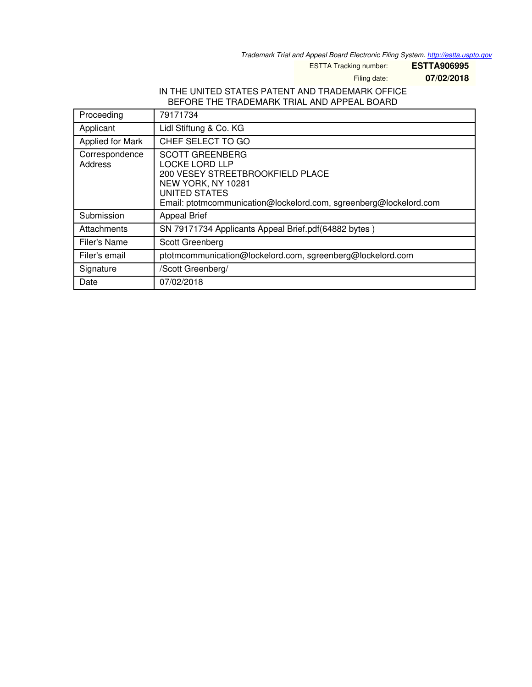*Trademark Trial and Appeal Board Electronic Filing System. <http://estta.uspto.gov>*

ESTTA Tracking number: **ESTTA906995**

Filing date: **07/02/2018**

## IN THE UNITED STATES PATENT AND TRADEMARK OFFICE BEFORE THE TRADEMARK TRIAL AND APPEAL BOARD

| Proceeding                | 79171734                                                                                                                                                                                               |
|---------------------------|--------------------------------------------------------------------------------------------------------------------------------------------------------------------------------------------------------|
| Applicant                 | Lidl Stiftung & Co. KG                                                                                                                                                                                 |
| Applied for Mark          | CHEF SELECT TO GO                                                                                                                                                                                      |
| Correspondence<br>Address | <b>SCOTT GREENBERG</b><br><b>LOCKE LORD LLP</b><br>200 VESEY STREETBROOKFIELD PLACE<br>NEW YORK, NY 10281<br><b>UNITED STATES</b><br>Email: ptotmcommunication@lockelord.com, sgreenberg@lockelord.com |
| Submission                | <b>Appeal Brief</b>                                                                                                                                                                                    |
| Attachments               | SN 79171734 Applicants Appeal Brief.pdf(64882 bytes)                                                                                                                                                   |
| Filer's Name              | Scott Greenberg                                                                                                                                                                                        |
| Filer's email             | ptotmcommunication@lockelord.com, sgreenberg@lockelord.com                                                                                                                                             |
| Signature                 | /Scott Greenberg/                                                                                                                                                                                      |
| Date                      | 07/02/2018                                                                                                                                                                                             |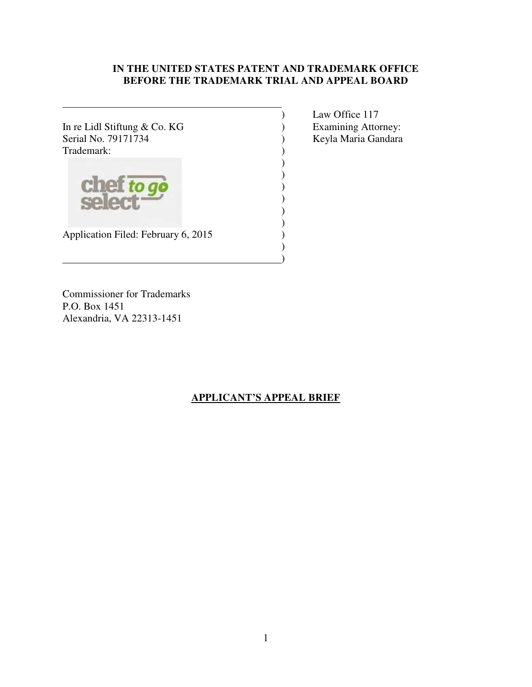# **IN THE UNITED STATES PATENT AND TRADEMARK OFFICE BEFORE THE TRADEMARK TRIAL AND APPEAL BOARD**

) ) ) ) ) )

> ) )

In re Lidl Stiftung & Co. KG  $\begin{array}{ccc} \text{S.} & \text{S.} \\ \text{S.} & \text{S.} \\ \text{S.} & \text{S.} \end{array}$   $\begin{array}{ccc} \text{Examining} \\ \text{B.} \\ \text{A.} \\ \text{B.} \end{array}$ Trademark: (a)

) Law Office 117 ) Keyla Maria Gandara



Application Filed: February 6, 2015 )

Commissioner for Trademarks P.O. Box 1451 Alexandria, VA 22313-1451

# **APPLICANT'S APPEAL BRIEF**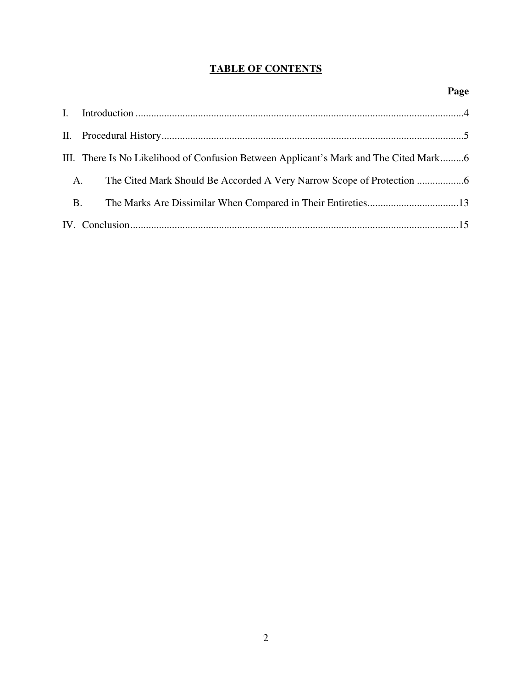# **TABLE OF CONTENTS**

|           | III. There Is No Likelihood of Confusion Between Applicant's Mark and The Cited Mark6 |  |
|-----------|---------------------------------------------------------------------------------------|--|
| A.        |                                                                                       |  |
| <b>B.</b> |                                                                                       |  |
|           |                                                                                       |  |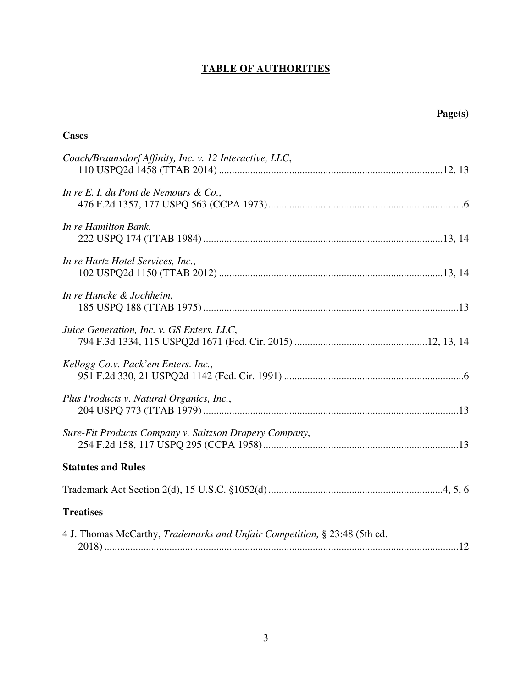# **TABLE OF AUTHORITIES**

| Page(s)                                                                           |  |  |
|-----------------------------------------------------------------------------------|--|--|
| <b>Cases</b>                                                                      |  |  |
| Coach/Braunsdorf Affinity, Inc. v. 12 Interactive, LLC,                           |  |  |
| In re E. I. du Pont de Nemours & Co.,                                             |  |  |
| In re Hamilton Bank,                                                              |  |  |
| In re Hartz Hotel Services, Inc.,                                                 |  |  |
| In re Huncke & Jochheim,                                                          |  |  |
| Juice Generation, Inc. v. GS Enters. LLC,                                         |  |  |
| Kellogg Co.v. Pack'em Enters. Inc.,                                               |  |  |
| Plus Products v. Natural Organics, Inc.,                                          |  |  |
| Sure-Fit Products Company v. Saltzson Drapery Company,                            |  |  |
| <b>Statutes and Rules</b>                                                         |  |  |
|                                                                                   |  |  |
| <b>Treatises</b>                                                                  |  |  |
| 4 J. Thomas McCarthy, <i>Trademarks and Unfair Competition</i> , § 23:48 (5th ed. |  |  |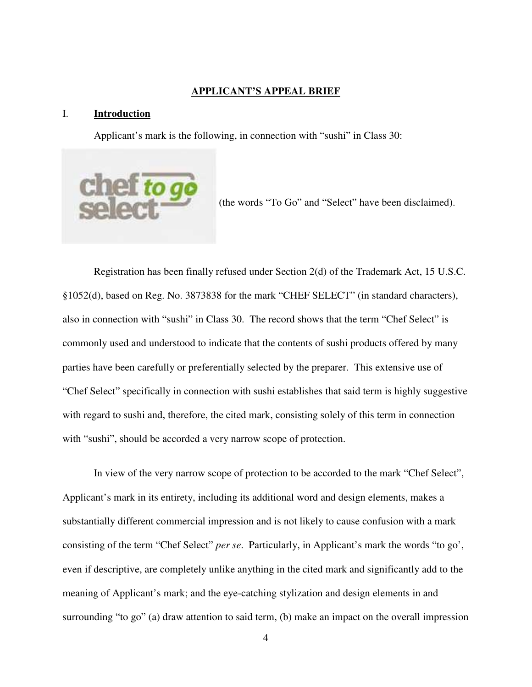#### **APPLICANT'S APPEAL BRIEF**

#### I. **Introduction**

Applicant's mark is the following, in connection with "sushi" in Class 30:



(the words "To Go" and "Select" have been disclaimed).

Registration has been finally refused under Section 2(d) of the Trademark Act, 15 U.S.C. §1052(d), based on Reg. No. 3873838 for the mark "CHEF SELECT" (in standard characters), also in connection with "sushi" in Class 30. The record shows that the term "Chef Select" is commonly used and understood to indicate that the contents of sushi products offered by many parties have been carefully or preferentially selected by the preparer. This extensive use of "Chef Select" specifically in connection with sushi establishes that said term is highly suggestive with regard to sushi and, therefore, the cited mark, consisting solely of this term in connection with "sushi", should be accorded a very narrow scope of protection.

In view of the very narrow scope of protection to be accorded to the mark "Chef Select", Applicant's mark in its entirety, including its additional word and design elements, makes a substantially different commercial impression and is not likely to cause confusion with a mark consisting of the term "Chef Select" *per se*. Particularly, in Applicant's mark the words "to go', even if descriptive, are completely unlike anything in the cited mark and significantly add to the meaning of Applicant's mark; and the eye-catching stylization and design elements in and surrounding "to go" (a) draw attention to said term, (b) make an impact on the overall impression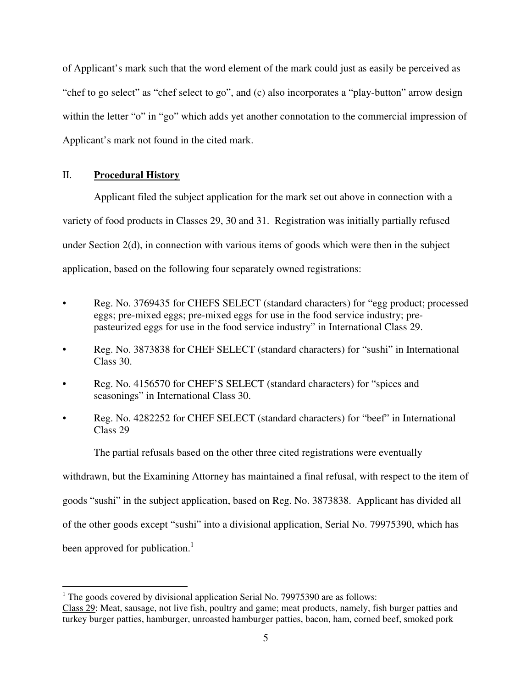of Applicant's mark such that the word element of the mark could just as easily be perceived as "chef to go select" as "chef select to go", and (c) also incorporates a "play-button" arrow design within the letter "o" in "go" which adds yet another connotation to the commercial impression of Applicant's mark not found in the cited mark.

## II. **Procedural History**

Applicant filed the subject application for the mark set out above in connection with a variety of food products in Classes 29, 30 and 31. Registration was initially partially refused under Section  $2(d)$ , in connection with various items of goods which were then in the subject application, based on the following four separately owned registrations:

- Reg. No. 3769435 for CHEFS SELECT (standard characters) for "egg product; processed eggs; pre-mixed eggs; pre-mixed eggs for use in the food service industry; prepasteurized eggs for use in the food service industry" in International Class 29.
- Reg. No. 3873838 for CHEF SELECT (standard characters) for "sushi" in International Class 30.
- Reg. No. 4156570 for CHEF'S SELECT (standard characters) for "spices and seasonings" in International Class 30.
- Reg. No. 4282252 for CHEF SELECT (standard characters) for "beef" in International Class 29

The partial refusals based on the other three cited registrations were eventually

withdrawn, but the Examining Attorney has maintained a final refusal, with respect to the item of

goods "sushi" in the subject application, based on Reg. No. 3873838. Applicant has divided all

of the other goods except "sushi" into a divisional application, Serial No. 79975390, which has

been approved for publication.<sup>1</sup>

 $1$  The goods covered by divisional application Serial No. 79975390 are as follows: Class 29: Meat, sausage, not live fish, poultry and game; meat products, namely, fish burger patties and turkey burger patties, hamburger, unroasted hamburger patties, bacon, ham, corned beef, smoked pork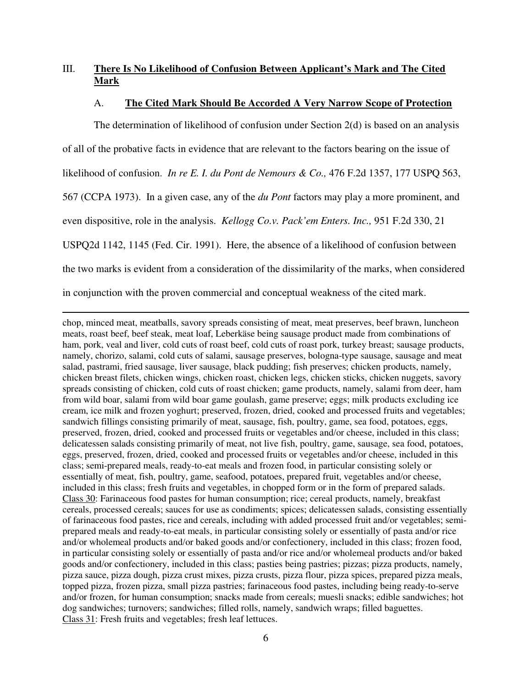# III. **There Is No Likelihood of Confusion Between Applicant's Mark and The Cited Mark**

## A. **The Cited Mark Should Be Accorded A Very Narrow Scope of Protection**

The determination of likelihood of confusion under Section 2(d) is based on an analysis of all of the probative facts in evidence that are relevant to the factors bearing on the issue of likelihood of confusion. *In re E. I. du Pont de Nemours & Co.,* 476 F.2d 1357, 177 USPQ 563, 567 (CCPA 1973). In a given case, any of the *du Pont* factors may play a more prominent, and even dispositive, role in the analysis. *Kellogg Co.v. Pack'em Enters. Inc.,* 951 F.2d 330, 21 USPQ2d 1142, 1145 (Fed. Cir. 1991). Here, the absence of a likelihood of confusion between the two marks is evident from a consideration of the dissimilarity of the marks, when considered in conjunction with the proven commercial and conceptual weakness of the cited mark.

chop, minced meat, meatballs, savory spreads consisting of meat, meat preserves, beef brawn, luncheon meats, roast beef, beef steak, meat loaf, Leberkäse being sausage product made from combinations of ham, pork, veal and liver, cold cuts of roast beef, cold cuts of roast pork, turkey breast; sausage products, namely, chorizo, salami, cold cuts of salami, sausage preserves, bologna-type sausage, sausage and meat salad, pastrami, fried sausage, liver sausage, black pudding; fish preserves; chicken products, namely, chicken breast filets, chicken wings, chicken roast, chicken legs, chicken sticks, chicken nuggets, savory spreads consisting of chicken, cold cuts of roast chicken; game products, namely, salami from deer, ham from wild boar, salami from wild boar game goulash, game preserve; eggs; milk products excluding ice cream, ice milk and frozen yoghurt; preserved, frozen, dried, cooked and processed fruits and vegetables; sandwich fillings consisting primarily of meat, sausage, fish, poultry, game, sea food, potatoes, eggs, preserved, frozen, dried, cooked and processed fruits or vegetables and/or cheese, included in this class; delicatessen salads consisting primarily of meat, not live fish, poultry, game, sausage, sea food, potatoes, eggs, preserved, frozen, dried, cooked and processed fruits or vegetables and/or cheese, included in this class; semi-prepared meals, ready-to-eat meals and frozen food, in particular consisting solely or essentially of meat, fish, poultry, game, seafood, potatoes, prepared fruit, vegetables and/or cheese, included in this class; fresh fruits and vegetables, in chopped form or in the form of prepared salads. Class 30: Farinaceous food pastes for human consumption; rice; cereal products, namely, breakfast cereals, processed cereals; sauces for use as condiments; spices; delicatessen salads, consisting essentially of farinaceous food pastes, rice and cereals, including with added processed fruit and/or vegetables; semiprepared meals and ready-to-eat meals, in particular consisting solely or essentially of pasta and/or rice and/or wholemeal products and/or baked goods and/or confectionery, included in this class; frozen food, in particular consisting solely or essentially of pasta and/or rice and/or wholemeal products and/or baked goods and/or confectionery, included in this class; pasties being pastries; pizzas; pizza products, namely, pizza sauce, pizza dough, pizza crust mixes, pizza crusts, pizza flour, pizza spices, prepared pizza meals, topped pizza, frozen pizza, small pizza pastries; farinaceous food pastes, including being ready-to-serve and/or frozen, for human consumption; snacks made from cereals; muesli snacks; edible sandwiches; hot dog sandwiches; turnovers; sandwiches; filled rolls, namely, sandwich wraps; filled baguettes. Class 31: Fresh fruits and vegetables; fresh leaf lettuces.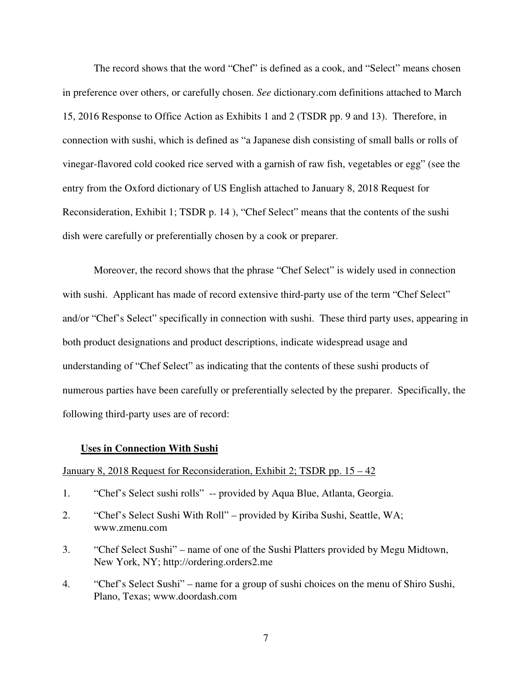The record shows that the word "Chef" is defined as a cook, and "Select" means chosen in preference over others, or carefully chosen. *See* dictionary.com definitions attached to March 15, 2016 Response to Office Action as Exhibits 1 and 2 (TSDR pp. 9 and 13). Therefore, in connection with sushi, which is defined as "a Japanese dish consisting of small balls or rolls of vinegar-flavored cold cooked rice served with a garnish of raw fish, vegetables or egg" (see the entry from the Oxford dictionary of US English attached to January 8, 2018 Request for Reconsideration, Exhibit 1; TSDR p. 14 ), "Chef Select" means that the contents of the sushi dish were carefully or preferentially chosen by a cook or preparer.

Moreover, the record shows that the phrase "Chef Select" is widely used in connection with sushi. Applicant has made of record extensive third-party use of the term "Chef Select" and/or "Chef's Select" specifically in connection with sushi. These third party uses, appearing in both product designations and product descriptions, indicate widespread usage and understanding of "Chef Select" as indicating that the contents of these sushi products of numerous parties have been carefully or preferentially selected by the preparer. Specifically, the following third-party uses are of record:

## **Uses in Connection With Sushi**

## January 8, 2018 Request for Reconsideration, Exhibit 2; TSDR pp. 15 – 42

- 1. "Chef's Select sushi rolls" -- provided by Aqua Blue, Atlanta, Georgia.
- 2. "Chef's Select Sushi With Roll" provided by Kiriba Sushi, Seattle, WA; www.zmenu.com
- 3. "Chef Select Sushi" name of one of the Sushi Platters provided by Megu Midtown, New York, NY; http://ordering.orders2.me
- 4. "Chef's Select Sushi" name for a group of sushi choices on the menu of Shiro Sushi, Plano, Texas; www.doordash.com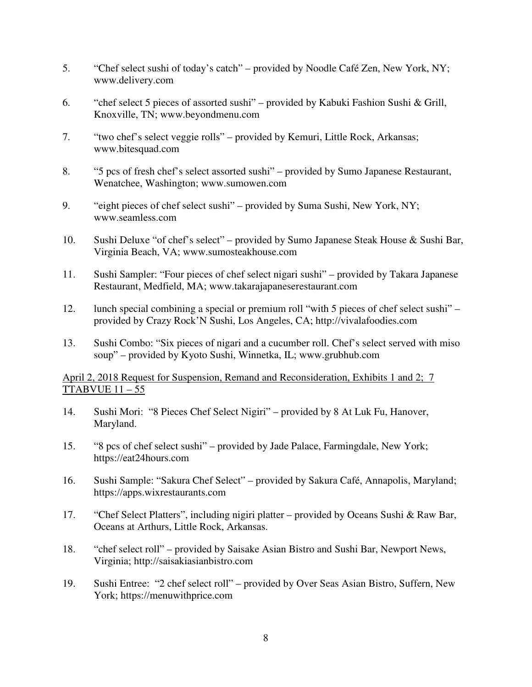- 5. "Chef select sushi of today's catch" provided by Noodle Café Zen, New York, NY; www.delivery.com
- 6. "chef select 5 pieces of assorted sushi" provided by Kabuki Fashion Sushi & Grill, Knoxville, TN; www.beyondmenu.com
- 7. "two chef's select veggie rolls" provided by Kemuri, Little Rock, Arkansas; www.bitesquad.com
- 8. "5 pcs of fresh chef's select assorted sushi" provided by Sumo Japanese Restaurant, Wenatchee, Washington; www.sumowen.com
- 9. "eight pieces of chef select sushi" provided by Suma Sushi, New York, NY; www.seamless.com
- 10. Sushi Deluxe "of chef's select" provided by Sumo Japanese Steak House & Sushi Bar, Virginia Beach, VA; www.sumosteakhouse.com
- 11. Sushi Sampler: "Four pieces of chef select nigari sushi" provided by Takara Japanese Restaurant, Medfield, MA; www.takarajapaneserestaurant.com
- 12. lunch special combining a special or premium roll "with 5 pieces of chef select sushi" provided by Crazy Rock'N Sushi, Los Angeles, CA; http://vivalafoodies.com
- 13. Sushi Combo: "Six pieces of nigari and a cucumber roll. Chef's select served with miso soup" – provided by Kyoto Sushi, Winnetka, IL; www.grubhub.com

# April 2, 2018 Request for Suspension, Remand and Reconsideration, Exhibits 1 and 2; 7  $TTABVUE$  11 – 55

- 14. Sushi Mori: "8 Pieces Chef Select Nigiri" provided by 8 At Luk Fu, Hanover, Maryland.
- 15. "8 pcs of chef select sushi" provided by Jade Palace, Farmingdale, New York; https://eat24hours.com
- 16. Sushi Sample: "Sakura Chef Select" provided by Sakura Café, Annapolis, Maryland; https://apps.wixrestaurants.com
- 17. "Chef Select Platters", including nigiri platter provided by Oceans Sushi & Raw Bar, Oceans at Arthurs, Little Rock, Arkansas.
- 18. "chef select roll" provided by Saisake Asian Bistro and Sushi Bar, Newport News, Virginia; http://saisakiasianbistro.com
- 19. Sushi Entree: "2 chef select roll" provided by Over Seas Asian Bistro, Suffern, New York; https://menuwithprice.com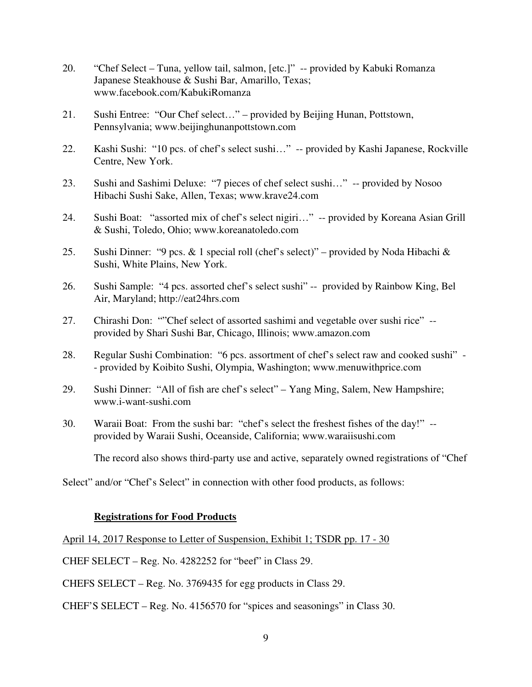- 20. "Chef Select Tuna, yellow tail, salmon, [etc.]" -- provided by Kabuki Romanza Japanese Steakhouse & Sushi Bar, Amarillo, Texas; www.facebook.com/KabukiRomanza
- 21. Sushi Entree: "Our Chef select…" provided by Beijing Hunan, Pottstown, Pennsylvania; www.beijinghunanpottstown.com
- 22. Kashi Sushi: "10 pcs. of chef's select sushi…" -- provided by Kashi Japanese, Rockville Centre, New York.
- 23. Sushi and Sashimi Deluxe: "7 pieces of chef select sushi…" -- provided by Nosoo Hibachi Sushi Sake, Allen, Texas; www.krave24.com
- 24. Sushi Boat: "assorted mix of chef's select nigiri…" -- provided by Koreana Asian Grill & Sushi, Toledo, Ohio; www.koreanatoledo.com
- 25. Sushi Dinner: "9 pcs. & 1 special roll (chef's select)" provided by Noda Hibachi & Sushi, White Plains, New York.
- 26. Sushi Sample: "4 pcs. assorted chef's select sushi" -- provided by Rainbow King, Bel Air, Maryland; http://eat24hrs.com
- 27. Chirashi Don: ""Chef select of assorted sashimi and vegetable over sushi rice" provided by Shari Sushi Bar, Chicago, Illinois; www.amazon.com
- 28. Regular Sushi Combination: "6 pcs. assortment of chef's select raw and cooked sushi" - provided by Koibito Sushi, Olympia, Washington; www.menuwithprice.com
- 29. Sushi Dinner: "All of fish are chef's select" Yang Ming, Salem, New Hampshire; www.i-want-sushi.com
- 30. Waraii Boat: From the sushi bar: "chef's select the freshest fishes of the day!" provided by Waraii Sushi, Oceanside, California; www.waraiisushi.com

The record also shows third-party use and active, separately owned registrations of "Chef

Select" and/or "Chef's Select" in connection with other food products, as follows:

## **Registrations for Food Products**

April 14, 2017 Response to Letter of Suspension, Exhibit 1; TSDR pp. 17 - 30

CHEF SELECT – Reg. No. 4282252 for "beef" in Class 29.

CHEFS SELECT – Reg. No. 3769435 for egg products in Class 29.

CHEF'S SELECT – Reg. No. 4156570 for "spices and seasonings" in Class 30.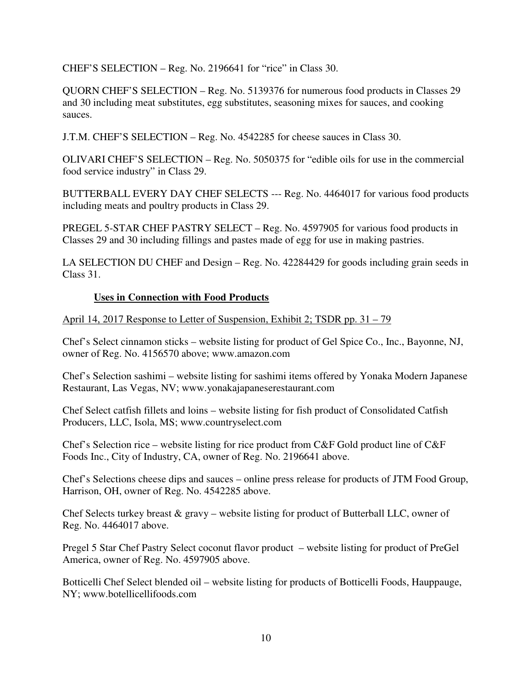CHEF'S SELECTION – Reg. No. 2196641 for "rice" in Class 30.

QUORN CHEF'S SELECTION – Reg. No. 5139376 for numerous food products in Classes 29 and 30 including meat substitutes, egg substitutes, seasoning mixes for sauces, and cooking sauces.

J.T.M. CHEF'S SELECTION – Reg. No. 4542285 for cheese sauces in Class 30.

OLIVARI CHEF'S SELECTION – Reg. No. 5050375 for "edible oils for use in the commercial food service industry" in Class 29.

BUTTERBALL EVERY DAY CHEF SELECTS --- Reg. No. 4464017 for various food products including meats and poultry products in Class 29.

PREGEL 5-STAR CHEF PASTRY SELECT – Reg. No. 4597905 for various food products in Classes 29 and 30 including fillings and pastes made of egg for use in making pastries.

LA SELECTION DU CHEF and Design – Reg. No. 42284429 for goods including grain seeds in Class 31.

# **Uses in Connection with Food Products**

April 14, 2017 Response to Letter of Suspension, Exhibit 2; TSDR pp. 31 – 79

Chef's Select cinnamon sticks – website listing for product of Gel Spice Co., Inc., Bayonne, NJ, owner of Reg. No. 4156570 above; www.amazon.com

Chef's Selection sashimi – website listing for sashimi items offered by Yonaka Modern Japanese Restaurant, Las Vegas, NV; www.yonakajapaneserestaurant.com

Chef Select catfish fillets and loins – website listing for fish product of Consolidated Catfish Producers, LLC, Isola, MS; www.countryselect.com

Chef's Selection rice – website listing for rice product from C&F Gold product line of C&F Foods Inc., City of Industry, CA, owner of Reg. No. 2196641 above.

Chef's Selections cheese dips and sauces – online press release for products of JTM Food Group, Harrison, OH, owner of Reg. No. 4542285 above.

Chef Selects turkey breast  $\&$  gravy – website listing for product of Butterball LLC, owner of Reg. No. 4464017 above.

Pregel 5 Star Chef Pastry Select coconut flavor product – website listing for product of PreGel America, owner of Reg. No. 4597905 above.

Botticelli Chef Select blended oil – website listing for products of Botticelli Foods, Hauppauge, NY; www.botellicellifoods.com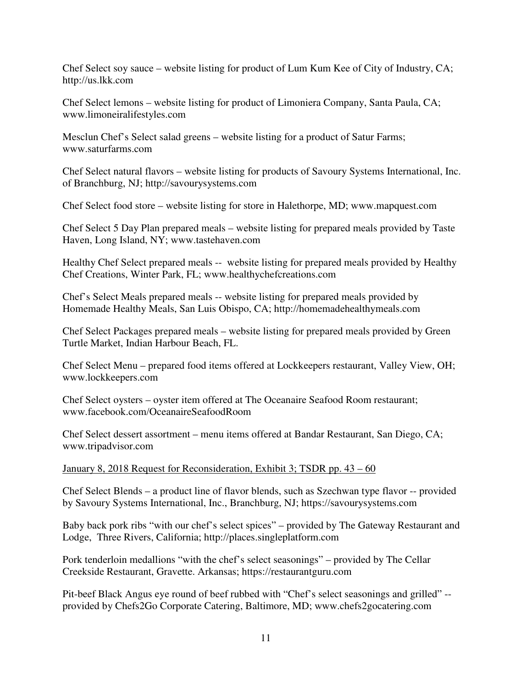Chef Select soy sauce – website listing for product of Lum Kum Kee of City of Industry, CA; http://us.lkk.com

Chef Select lemons – website listing for product of Limoniera Company, Santa Paula, CA; www.limoneiralifestyles.com

Mesclun Chef's Select salad greens – website listing for a product of Satur Farms; www.saturfarms.com

Chef Select natural flavors – website listing for products of Savoury Systems International, Inc. of Branchburg, NJ; http://savourysystems.com

Chef Select food store – website listing for store in Halethorpe, MD; www.mapquest.com

Chef Select 5 Day Plan prepared meals – website listing for prepared meals provided by Taste Haven, Long Island, NY; www.tastehaven.com

Healthy Chef Select prepared meals -- website listing for prepared meals provided by Healthy Chef Creations, Winter Park, FL; www.healthychefcreations.com

Chef's Select Meals prepared meals -- website listing for prepared meals provided by Homemade Healthy Meals, San Luis Obispo, CA; http://homemadehealthymeals.com

Chef Select Packages prepared meals – website listing for prepared meals provided by Green Turtle Market, Indian Harbour Beach, FL.

Chef Select Menu – prepared food items offered at Lockkeepers restaurant, Valley View, OH; www.lockkeepers.com

Chef Select oysters – oyster item offered at The Oceanaire Seafood Room restaurant; www.facebook.com/OceanaireSeafoodRoom

Chef Select dessert assortment – menu items offered at Bandar Restaurant, San Diego, CA; www.tripadvisor.com

January 8, 2018 Request for Reconsideration, Exhibit 3; TSDR pp. 43 – 60

Chef Select Blends – a product line of flavor blends, such as Szechwan type flavor -- provided by Savoury Systems International, Inc., Branchburg, NJ; https://savourysystems.com

Baby back pork ribs "with our chef's select spices" – provided by The Gateway Restaurant and Lodge, Three Rivers, California; http://places.singleplatform.com

Pork tenderloin medallions "with the chef's select seasonings" – provided by The Cellar Creekside Restaurant, Gravette. Arkansas; https://restaurantguru.com

Pit-beef Black Angus eye round of beef rubbed with "Chef's select seasonings and grilled" - provided by Chefs2Go Corporate Catering, Baltimore, MD; www.chefs2gocatering.com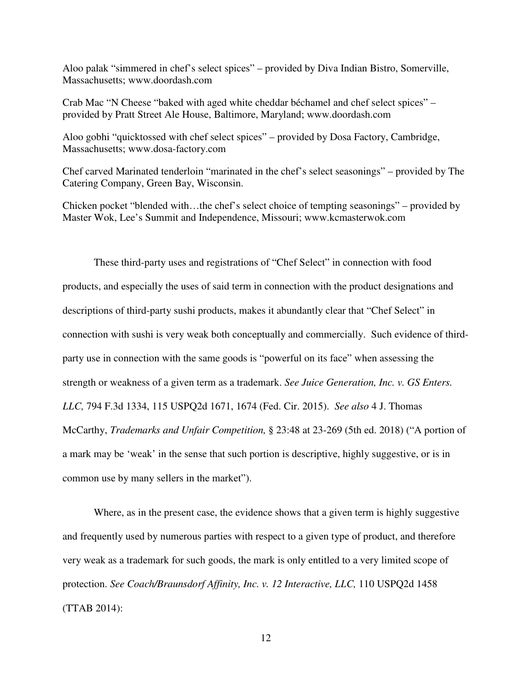Aloo palak "simmered in chef's select spices" – provided by Diva Indian Bistro, Somerville, Massachusetts; www.doordash.com

Crab Mac "N Cheese "baked with aged white cheddar béchamel and chef select spices" – provided by Pratt Street Ale House, Baltimore, Maryland; www.doordash.com

Aloo gobhi "quicktossed with chef select spices" – provided by Dosa Factory, Cambridge, Massachusetts; www.dosa-factory.com

Chef carved Marinated tenderloin "marinated in the chef's select seasonings" – provided by The Catering Company, Green Bay, Wisconsin.

Chicken pocket "blended with…the chef's select choice of tempting seasonings" – provided by Master Wok, Lee's Summit and Independence, Missouri; www.kcmasterwok.com

These third-party uses and registrations of "Chef Select" in connection with food products, and especially the uses of said term in connection with the product designations and descriptions of third-party sushi products, makes it abundantly clear that "Chef Select" in connection with sushi is very weak both conceptually and commercially. Such evidence of thirdparty use in connection with the same goods is "powerful on its face" when assessing the strength or weakness of a given term as a trademark. *See Juice Generation, Inc. v. GS Enters. LLC,* 794 F.3d 1334, 115 USPQ2d 1671, 1674 (Fed. Cir. 2015). *See also* 4 J. Thomas McCarthy, *Trademarks and Unfair Competition,* § 23:48 at 23-269 (5th ed. 2018) ("A portion of a mark may be 'weak' in the sense that such portion is descriptive, highly suggestive, or is in common use by many sellers in the market").

Where, as in the present case, the evidence shows that a given term is highly suggestive and frequently used by numerous parties with respect to a given type of product, and therefore very weak as a trademark for such goods, the mark is only entitled to a very limited scope of protection. *See Coach/Braunsdorf Affinity, Inc. v. 12 Interactive, LLC,* 110 USPQ2d 1458 (TTAB 2014):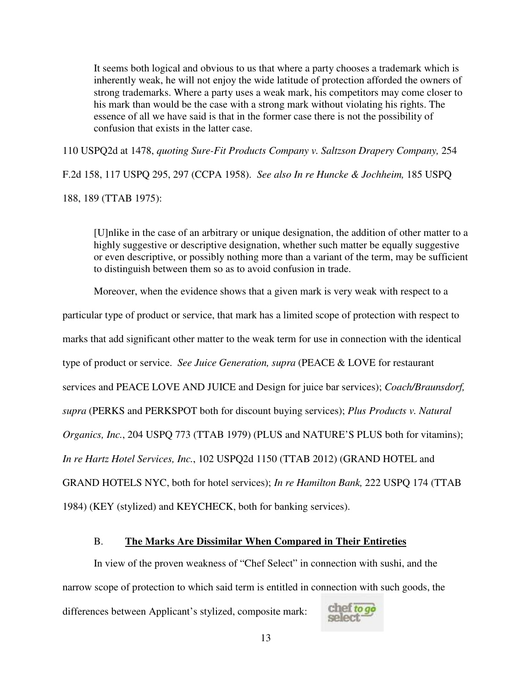It seems both logical and obvious to us that where a party chooses a trademark which is inherently weak, he will not enjoy the wide latitude of protection afforded the owners of strong trademarks. Where a party uses a weak mark, his competitors may come closer to his mark than would be the case with a strong mark without violating his rights. The essence of all we have said is that in the former case there is not the possibility of confusion that exists in the latter case.

110 USPQ2d at 1478, *quoting Sure-Fit Products Company v. Saltzson Drapery Company,* 254

F.2d 158, 117 USPQ 295, 297 (CCPA 1958). *See also In re Huncke & Jochheim,* 185 USPQ 188, 189 (TTAB 1975):

[U]nlike in the case of an arbitrary or unique designation, the addition of other matter to a highly suggestive or descriptive designation, whether such matter be equally suggestive or even descriptive, or possibly nothing more than a variant of the term, may be sufficient to distinguish between them so as to avoid confusion in trade.

Moreover, when the evidence shows that a given mark is very weak with respect to a

particular type of product or service, that mark has a limited scope of protection with respect to

marks that add significant other matter to the weak term for use in connection with the identical

type of product or service. *See Juice Generation, supra* (PEACE & LOVE for restaurant

services and PEACE LOVE AND JUICE and Design for juice bar services); *Coach/Braunsdorf,*

*supra* (PERKS and PERKSPOT both for discount buying services); *Plus Products v. Natural*

*Organics, Inc.*, 204 USPQ 773 (TTAB 1979) (PLUS and NATURE'S PLUS both for vitamins);

*In re Hartz Hotel Services, Inc.*, 102 USPQ2d 1150 (TTAB 2012) (GRAND HOTEL and

GRAND HOTELS NYC, both for hotel services); *In re Hamilton Bank,* 222 USPQ 174 (TTAB

1984) (KEY (stylized) and KEYCHECK, both for banking services).

### B. **The Marks Are Dissimilar When Compared in Their Entireties**

In view of the proven weakness of "Chef Select" in connection with sushi, and the narrow scope of protection to which said term is entitled in connection with such goods, the chef to go<br>select differences between Applicant's stylized, composite mark: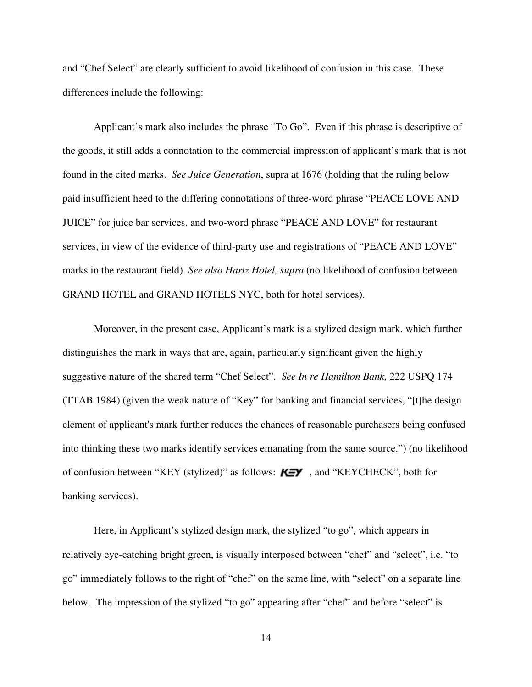and "Chef Select" are clearly sufficient to avoid likelihood of confusion in this case. These differences include the following:

Applicant's mark also includes the phrase "To Go". Even if this phrase is descriptive of the goods, it still adds a connotation to the commercial impression of applicant's mark that is not found in the cited marks. *See Juice Generation*, supra at 1676 (holding that the ruling below paid insufficient heed to the differing connotations of three-word phrase "PEACE LOVE AND JUICE" for juice bar services, and two-word phrase "PEACE AND LOVE" for restaurant services, in view of the evidence of third-party use and registrations of "PEACE AND LOVE" marks in the restaurant field). *See also Hartz Hotel, supra* (no likelihood of confusion between GRAND HOTEL and GRAND HOTELS NYC, both for hotel services).

Moreover, in the present case, Applicant's mark is a stylized design mark, which further distinguishes the mark in ways that are, again, particularly significant given the highly suggestive nature of the shared term "Chef Select". *See In re Hamilton Bank,* 222 USPQ 174 (TTAB 1984) (given the weak nature of "Key" for banking and financial services, "[t]he design element of applicant's mark further reduces the chances of reasonable purchasers being confused into thinking these two marks identify services emanating from the same source.") (no likelihood of confusion between "KEY (stylized)" as follows:  $K = Y$ , and "KEYCHECK", both for banking services).

Here, in Applicant's stylized design mark, the stylized "to go", which appears in relatively eye-catching bright green, is visually interposed between "chef" and "select", i.e. "to go" immediately follows to the right of "chef" on the same line, with "select" on a separate line below. The impression of the stylized "to go" appearing after "chef" and before "select" is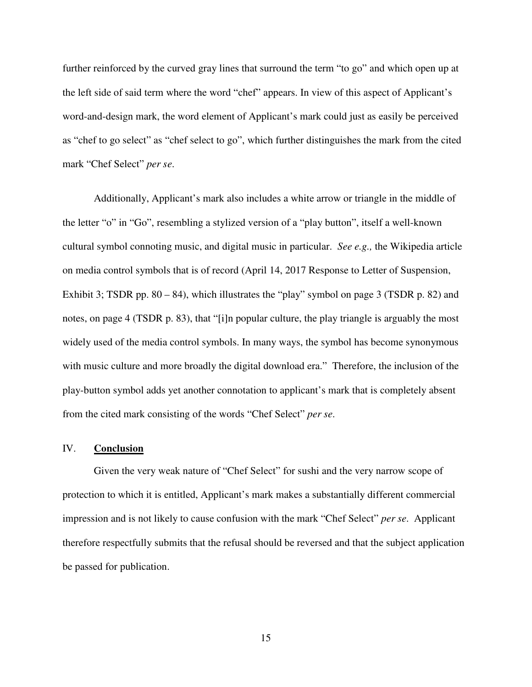further reinforced by the curved gray lines that surround the term "to go" and which open up at the left side of said term where the word "chef" appears. In view of this aspect of Applicant's word-and-design mark, the word element of Applicant's mark could just as easily be perceived as "chef to go select" as "chef select to go", which further distinguishes the mark from the cited mark "Chef Select" *per se*.

Additionally, Applicant's mark also includes a white arrow or triangle in the middle of the letter "o" in "Go", resembling a stylized version of a "play button", itself a well-known cultural symbol connoting music, and digital music in particular. *See e.g.,* the Wikipedia article on media control symbols that is of record (April 14, 2017 Response to Letter of Suspension, Exhibit 3; TSDR pp.  $80 - 84$ ), which illustrates the "play" symbol on page 3 (TSDR p. 82) and notes, on page 4 (TSDR p. 83), that "[i]n popular culture, the play triangle is arguably the most widely used of the media control symbols. In many ways, the symbol has become synonymous with music culture and more broadly the digital download era." Therefore, the inclusion of the play-button symbol adds yet another connotation to applicant's mark that is completely absent from the cited mark consisting of the words "Chef Select" *per se*.

## IV. **Conclusion**

Given the very weak nature of "Chef Select" for sushi and the very narrow scope of protection to which it is entitled, Applicant's mark makes a substantially different commercial impression and is not likely to cause confusion with the mark "Chef Select" *per se*. Applicant therefore respectfully submits that the refusal should be reversed and that the subject application be passed for publication.

15